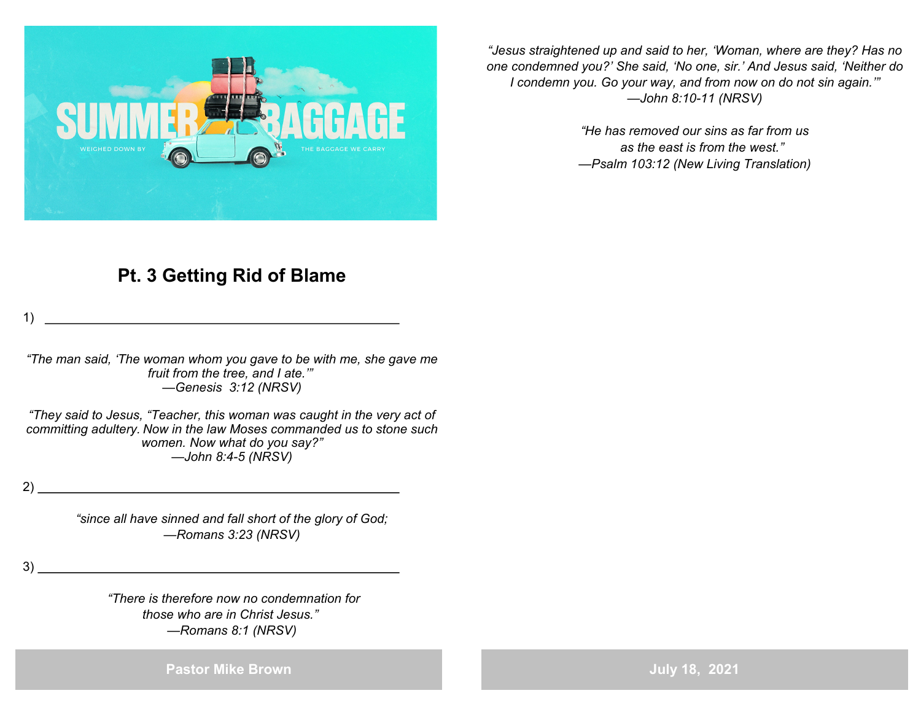

*"Jesus straightened up and said to her, 'Woman, where are they? Has no one condemned you?' She said, 'No one, sir.' And Jesus said, 'Neither do I condemn you. Go your way, and from now on do not sin again.'" —John 8:10-11 (NRSV)*

> *"He has removed our sins as far from us as the east is from the west." —Psalm 103:12 (New Living Translation)*

## **Pt. 3 Getting Rid of Blame**

1)

*"The man said, 'The woman whom you gave to be with me, she gave me fruit from the tree, and I ate.'" —Genesis 3:12 (NRSV)*

*"They said to Jesus, "Teacher, this woman was caught in the very act of committing adultery. Now in the law Moses commanded us to stone such women. Now what do you say?" —John 8:4-5 (NRSV)*

2)

*"since all have sinned and fall short of the glory of God; —Romans 3:23 (NRSV)*

3)

*"There is therefore now no condemnation for those who are in Christ Jesus." —Romans 8:1 (NRSV)*

**Pastor Mike Brown**

**July 18, 2021**